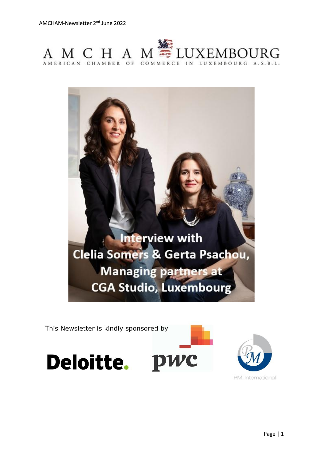



This Newsletter is kindly sponsored by



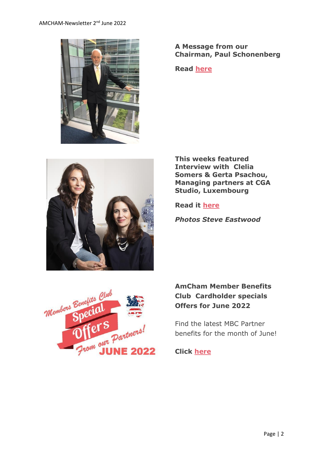

# **A Message from our Chairman, Paul Schonenberg**

**Read [here](https://www.amcham.lu/newsletter/chairmans-remarks-2nd-june-2022/)**



**This weeks featured Interview with Clelia Somers & Gerta Psachou, Managing partners at CGA Studio, Luxembourg**

**Read it [here](https://www.amcham.lu/newsletter/interview-with-clelia-somers-gerta-psachou-managing-partners-at-cga-studio-luxembourg/)**

*Photos Steve Eastwood*



# **AmCham Member Benefits Club Cardholder specials Offers for June 2022**

Find the latest MBC Partner benefits for the month of June!

**Click [here](https://www.amcham.lu/ambc-special-offers-june-2022/)**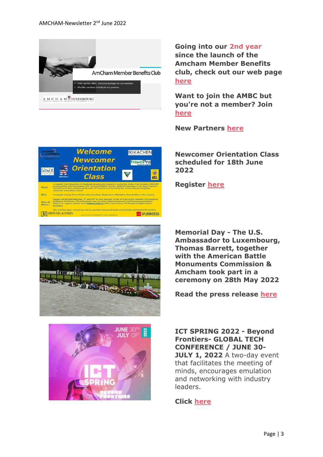

**Welcome** 

**Newcomer** 

**Orientation** 

**Class** 

What Who

This is a free class:

**IØIKACHEN** 

tra>elPro

●

ACL

SPUERKEESS

**Going into our 2nd year since the launch of the Amcham Member Benefits club, check out our web page [here](https://www.amcham.lu/amcham-benefits-club/)**

**Want to join the AMBC but you're not a member? Join [here](https://www.amcham.lu/amcham-benefits-club/ambc-card-for-non-members/)**

**New Partners [here](https://www.amcham.lu/newsletter/new-partners-as-of-02nd-of-june-2022/)**

**Newcomer Orientation Class scheduled for 18th June 2022**





**JUNE 30<sup>t</sup>** 

**Memorial Day - The U.S. Ambassador to Luxembourg, Thomas Barrett, together with the American Battle Monuments Commission & Amcham took part in a ceremony on 28th May 2022**

**Read the press release [here](https://www.amcham.lu/newsletter/memorial-day-ceremony-held-at-the-american-cemetery-in-luxembourg/)**

**ICT SPRING 2022 - Beyond Frontiers- GLOBAL TECH CONFERENCE / JUNE 30- JULY 1, 2022** A two-day event that facilitates the meeting of minds, encourages emulation and networking with industry leaders.

# **Click [here](https://www.ictspring.com/)**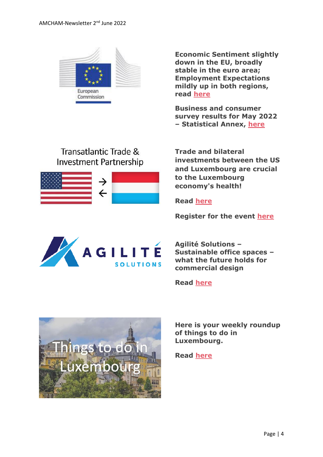

**Economic Sentiment slightly down in the EU, broadly stable in the euro area; Employment Expectations mildly up in both regions, read [here](https://www.amcham.lu/wp-content/uploads/2022/05/bcs_2022_05_en.pdf)**

**Business and consumer survey results for May 2022 – Statistical Annex, [here](https://www.amcham.lu/wp-content/uploads/2022/05/bcs_2022_05_statistical_annex_en.pdf)**

# Transatlantic Trade & **Investment Partnership**



**Trade and bilateral investments between the US and Luxembourg are crucial to the Luxembourg economy's health!**

**Read [here](https://www.amcham.lu/newsletter/transatlantic-trade-trade-and-bilateral-investments-between-the-united-states-and-luxembourg/)**

**Register for the event [here](https://www.amcham.lu/events/transatlantic-trade-and-investment/)**



**Agilité Solutions – Sustainable office spaces – what the future holds for commercial design**

**Read [here](https://www.amcham.lu/newsletter/2-agilite-solutions-sustainable-office-spaces-what-the-future-holds-for-commercial-design/)**



**Here is your weekly roundup of things to do in Luxembourg.**

**Read [here](https://www.amcham.lu/newsletter/things-to-do-in-luxembourg-for-june-2022/)**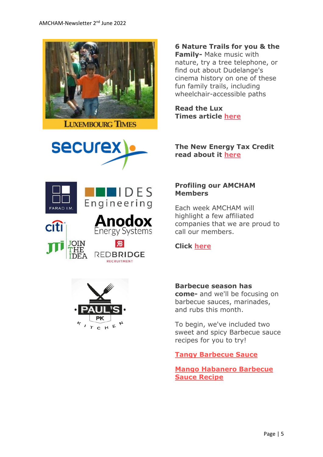





CHE

**6 Nature Trails for you & the Family-** Make music with nature, try a tree telephone, or find out about Dudelange's cinema history on one of these fun family trails, including wheelchair-accessible paths

**Read the Lux Times article [here](https://www.luxtimes.lu/en/education-and-family/six-nature-trails-for-the-family-602d67fade135b9236a7f114?utm_source=amcham_newsletter_&utm_medium=amcham_newsletter_&utm_term=amcham_newsletter_article_&utm_content=article_&utm_campaign=LT_AMCHAM_2022)**

**The New Energy Tax Credit read about it [here](https://www.securex.lu/sites/default/files/2022-05/New_energy_tax_credit.pdf)**

### **Profiling our AMCHAM Members**

Each week AMCHAM will highlight a few affiliated companies that we are proud to call our members.

# **Click [here](https://www.amcham.lu/newsletter/profiling-our-amcham-members-2nd-of-june-2022/)**

#### **Barbecue season has**

**come-** and we'll be focusing on barbecue sauces, marinades, and rubs this month.

To begin, we've included two sweet and spicy Barbecue sauce recipes for you to try!

# **[Tangy Barbecue Sauce](https://www.justtherecipe.com/?url=https://www.tasteofhome.com/recipes/tangy-barbecue-sauce/)**

**[Mango Habanero Barbecue](https://www.justtherecipe.com/?url=https://www.seriouseats.com/mango-habanero-barbecue-sauce)  [Sauce Recipe](https://www.justtherecipe.com/?url=https://www.seriouseats.com/mango-habanero-barbecue-sauce)**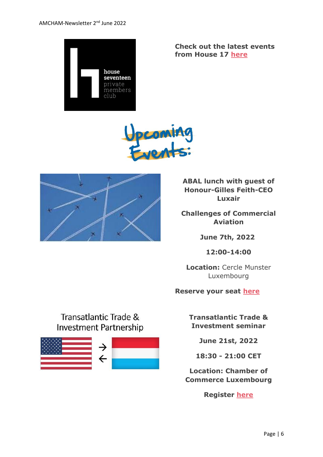

**Check out the latest events from House 17 [here](https://www.amcham.lu/newsletter/house-17-events-june/)**





**ABAL lunch with guest of Honour-Gilles Feith-CEO Luxair**

**Challenges of Commercial Aviation**

**June 7th, 2022**

**12:00-14:00**

**Location:** Cercle Munster Luxembourg

#### **Reserve your seat [here](https://www.amcham.lu/events/challenges-of-commercial-aviation/)**

**Transatlantic Trade & Investment seminar**

**June 21st, 2022**

**18:30 - 21:00 CET**

**Location: Chamber of Commerce Luxembourg**

**Register [here](https://www.amcham.lu/events/transatlantic-trade-and-investment/)**

# Transatlantic Trade & **Investment Partnership**

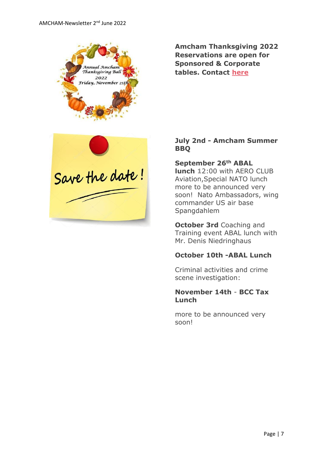

**Amcham Thanksgiving 2022 Reservations are open for Sponsored & Corporate tables. Contact [here](mailto:daniel@amcham.lu)**



### **July 2nd - Amcham Summer BBQ**

**September 26th ABAL lunch 1**2:00 with AERO CLUB Aviation,Special NATO lunch more to be announced very soon! Nato Ambassadors, wing commander US air base Spangdahlem

**October 3rd** Coaching and Training event ABAL lunch with Mr. Denis Niedringhaus

#### **October 10th -ABAL Lunch**

Criminal activities and crime scene investigation:

#### **November 14th** - **BCC Tax Lunch**

more to be announced very soon!